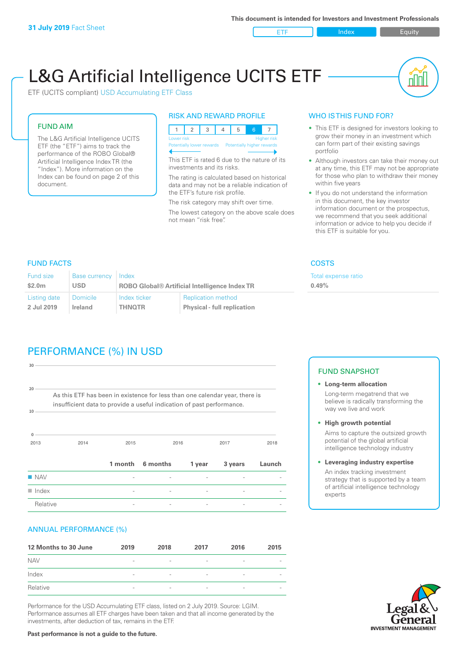ETF Index Requity

ul III

# L&G Artificial Intelligence UCITS ETF

ETF (UCITS compliant) USD Accumulating ETF Class

#### FUND AIM

The L&G Artificial Intelligence UCITS ETF (the "ETF") aims to track the performance of the ROBO Global® Artificial Intelligence Index TR (the "Index"). More information on the Index can be found on page 2 of this document.

#### RISK AND REWARD PROFILE



This ETF is rated 6 due to the nature of its investments and its risks.

The rating is calculated based on historical data and may not be a reliable indication of the ETF's future risk profile.

The risk category may shift over time. The lowest category on the above scale does not mean "risk free".

#### WHO IS THIS FUND FOR?

- This ETF is designed for investors looking to grow their money in an investment which can form part of their existing savings portfolio
- Although investors can take their money out at any time, this ETF may not be appropriate for those who plan to withdraw their money within five years
- If you do not understand the information in this document, the key investor information document or the prospectus, we recommend that you seek additional information or advice to help you decide if this ETF is suitable for you.

**0.49%**

Total expense ratio

FUND FACTS COSTS

| Fund size          | <b>Base currency</b> | Index                                                |                                    |  |
|--------------------|----------------------|------------------------------------------------------|------------------------------------|--|
| \$2.0 <sub>m</sub> | <b>USD</b>           | <b>ROBO Global® Artificial Intelligence Index TR</b> |                                    |  |
| Listing date       | <b>Domicile</b>      | Index ticker                                         | <b>Replication method</b>          |  |
| 2 Jul 2019         | Ireland              | <b>THNOTR</b>                                        | <b>Physical - full replication</b> |  |

# PERFORMANCE (%) IN USD

| 30                   |                                                                                                                                                      |                          |          |        |         |        |  |
|----------------------|------------------------------------------------------------------------------------------------------------------------------------------------------|--------------------------|----------|--------|---------|--------|--|
| 20<br>10             | As this ETF has been in existence for less than one calendar year, there is<br>insufficient data to provide a useful indication of past performance. |                          |          |        |         |        |  |
| $\mathbf{0}$<br>2013 | 2014                                                                                                                                                 | 2015                     |          | 2016   | 2017    | 2018   |  |
|                      |                                                                                                                                                      | 1 month                  | 6 months | 1 year | 3 years | Launch |  |
| <b>NAV</b>           |                                                                                                                                                      |                          |          |        |         |        |  |
| $\blacksquare$ Index |                                                                                                                                                      | $\overline{\phantom{0}}$ |          |        |         |        |  |
| Relative             |                                                                                                                                                      |                          |          |        |         |        |  |

#### ANNUAL PERFORMANCE (%)

| 12 Months to 30 June | 2019                     | 2018                     | 2017                     | 2016            | 2015                     |
|----------------------|--------------------------|--------------------------|--------------------------|-----------------|--------------------------|
| <b>NAV</b>           | $\overline{\phantom{a}}$ | $\overline{\phantom{a}}$ | $\overline{\phantom{a}}$ | $\qquad \qquad$ |                          |
| Index                | $\overline{\phantom{a}}$ | $\overline{\phantom{a}}$ | $\qquad \qquad$          | $\qquad \qquad$ | $\overline{\phantom{a}}$ |
| Relative             | $\sim$                   | $\overline{\phantom{a}}$ | $\overline{\phantom{a}}$ | $\qquad \qquad$ | $\overline{\phantom{a}}$ |

Performance for the USD Accumulating ETF class, listed on 2 July 2019. Source: LGIM. Performance assumes all ETF charges have been taken and that all income generated by the investments, after deduction of tax, remains in the ETF.

#### FUND SNAPSHOT

- **• Long-term allocation** Long-term megatrend that we believe is radically transforming the way we live and work
- **• High growth potential** Aims to capture the outsized growth potential of the global artificial intelligence technology industry
- **• Leveraging industry expertise** An index tracking investment strategy that is supported by a team of artificial intelligence technology experts



**Past performance is not a guide to the future.**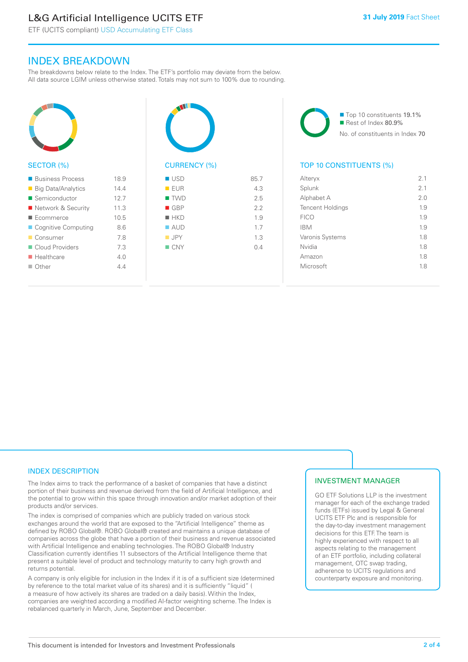# L&G Artificial Intelligence UCITS ETF

ETF (UCITS compliant) USD Accumulating ETF Class

### INDEX BREAKDOWN

The breakdowns below relate to the Index. The ETF's portfolio may deviate from the below. All data source LGIM unless otherwise stated. Totals may not sum to 100% due to rounding.



#### ■ Business Process 18.9 ■ Big Data/Analytics 14.4 ■ Semiconductor 12.7 ■ Network & Security 11.3 ■ Ecommerce 10.5 ■ Cognitive Computing 8.6 ■ Consumer 7.8 ■ Cloud Providers 7.3 n Healthcare 4.0  $\Box$  Other  $4.4$



| <b>USD</b>         | 85.7 |
|--------------------|------|
| EUR                | 4.3  |
| $\blacksquare$ TWD | 2.5  |
| $\blacksquare$ GBP | 2.2  |
| $H$ HKD            | 1.9  |
| $\blacksquare$ AUD | 1.7  |
| $\blacksquare$ JPY | 1.3  |
| $\blacksquare$ CNY | 0.4  |
|                    |      |
|                    |      |

■ Top 10 constituents 19.1% Rest of Index 80.9% No. of constituents in Index 70

#### TOP 10 CONSTITUENTS (%)

| Alteryx                 | 2.1 |
|-------------------------|-----|
| Splunk                  | 2.1 |
| Alphabet A              | 2.0 |
| <b>Tencent Holdings</b> | 1.9 |
| <b>FICO</b>             | 1.9 |
| <b>IBM</b>              | 1.9 |
| Varonis Systems         | 1.8 |
| Nvidia                  | 1.8 |
| Amazon                  | 1.8 |
| Microsoft               | 1.8 |
|                         |     |

#### INDEX DESCRIPTION

The Index aims to track the performance of a basket of companies that have a distinct portion of their business and revenue derived from the field of Artificial Intelligence, and the potential to grow within this space through innovation and/or market adoption of their products and/or services.

The index is comprised of companies which are publicly traded on various stock exchanges around the world that are exposed to the "Artificial Intelligence" theme as defined by ROBO Global®. ROBO Global® created and maintains a unique database of companies across the globe that have a portion of their business and revenue associated with Artificial Intelligence and enabling technologies. The ROBO Global® Industry Classification currently identifies 11 subsectors of the Artificial Intelligence theme that present a suitable level of product and technology maturity to carry high growth and returns potential.

A company is only eligible for inclusion in the Index if it is of a sufficient size (determined by reference to the total market value of its shares) and it is sufficiently "liquid" ( a measure of how actively its shares are traded on a daily basis). Within the Index, companies are weighted according a modified AI-factor weighting scheme. The Index is rebalanced quarterly in March, June, September and December.

#### INVESTMENT MANAGER

GO ETF Solutions LLP is the investment manager for each of the exchange traded funds (ETFs) issued by Legal & General UCITS ETF Plc and is responsible for the day-to-day investment management decisions for this ETF. The team is highly experienced with respect to all aspects relating to the management of an ETF portfolio, including collateral management, OTC swap trading, adherence to UCITS regulations and counterparty exposure and monitoring.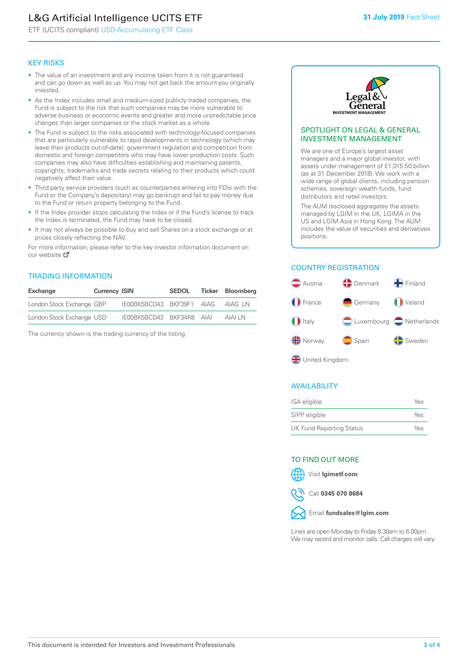# L&G Artificial Intelligence UCITS ETF

ETF (UCITS compliant) USD Accumulating ETF Class

#### KEY RISKS

- The value of an investment and any income taken from it is not guaranteed and can go down as well as up. You may not get back the amount you originally invested.
- As the Index includes small and medium-sized publicly traded companies, the Fund is subject to the risk that such companies may be more vulnerable to adverse business or economic events and greater and more unpredictable price changes than larger companies or the stock market as a whole.
- The Fund is subject to the risks associated with technology-focused companies that are particularly vulnerable to rapid developments in technology (which may leave their products out-of-date), government regulation and competition from domestic and foreign competitors who may have lower production costs. Such companies may also have difficulties establishing and maintaining patents, copyrights, trademarks and trade secrets relating to their products which could negatively affect their value.
- Third party service providers (such as counterparties entering into FDIs with the Fund or the Company's depositary) may go bankrupt and fail to pay money due to the Fund or return property belonging to the Fund.
- If the Index provider stops calculating the Index or if the Fund's license to track the Index is terminated, the Fund may have to be closed.
- It may not always be possible to buy and sell Shares on a stock exchange or at prices closely reflecting the NAV.

For more information, please refer to the key investor information document on our website M

#### TRADING INFORMATION

| <b>Exchange</b>           | <b>Currency ISIN</b> |                           | <b>SEDOL</b> | Ticker Bloomberg |
|---------------------------|----------------------|---------------------------|--------------|------------------|
| London Stock Exchange GBP |                      | IE00BK5BCD43 BKF39F1 AIAG |              | AIAG I N         |
| London Stock Exchange USD |                      | IE00BK5BCD43 BKF34R8 AIAI |              | <b>AIAI I N</b>  |

The currency shown is the trading currency of the listing.



#### SPOTLIGHT ON LEGAL & GENERAL INVESTMENT MANAGEMENT

We are one of Europe's largest asset managers and a major global investor, with assets under management of £1,015.50 billion (as at 31 December 2018). We work with a wide range of global clients, including pension schemes, sovereign wealth funds, fund distributors and retail investors.

The AUM disclosed aggregates the assets managed by LGIM in the UK, LGIMA in the US and LGIM Asia in Hong Kong. The AUM includes the value of securities and derivatives positions.

#### COUNTRY REGISTRATION



#### AVAILABILITY

| ISA eligible                    | Yes |
|---------------------------------|-----|
| SIPP eligible                   | Yes |
| <b>UK Fund Reporting Status</b> | Yes |

#### TO FIND OUT MORE

Visit **lgimetf.com**



Call **0345 070 8684**



Lines are open Monday to Friday 8.30am to 6.00pm. We may record and monitor calls. Call charges will vary.